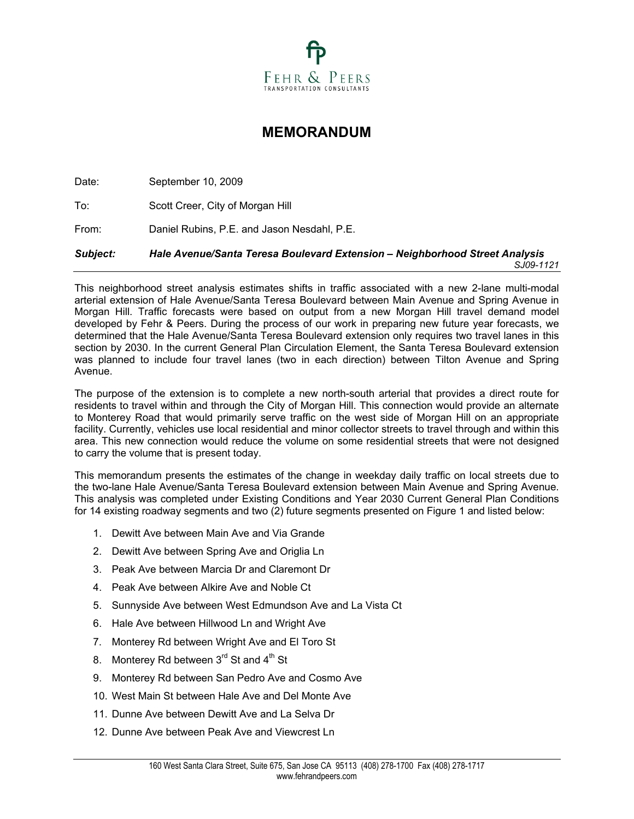

# **MEMORANDUM**

Date: September 10, 2009 To: Scott Creer, City of Morgan Hill From: Daniel Rubins, P.E. and Jason Nesdahl, P.E. *Subject: Hale Avenue/Santa Teresa Boulevard Extension – Neighborhood Street Analysis SJ09-1121* 

This neighborhood street analysis estimates shifts in traffic associated with a new 2-lane multi-modal arterial extension of Hale Avenue/Santa Teresa Boulevard between Main Avenue and Spring Avenue in Morgan Hill. Traffic forecasts were based on output from a new Morgan Hill travel demand model developed by Fehr & Peers. During the process of our work in preparing new future year forecasts, we determined that the Hale Avenue/Santa Teresa Boulevard extension only requires two travel lanes in this section by 2030. In the current General Plan Circulation Element, the Santa Teresa Boulevard extension was planned to include four travel lanes (two in each direction) between Tilton Avenue and Spring Avenue.

The purpose of the extension is to complete a new north-south arterial that provides a direct route for residents to travel within and through the City of Morgan Hill. This connection would provide an alternate to Monterey Road that would primarily serve traffic on the west side of Morgan Hill on an appropriate facility. Currently, vehicles use local residential and minor collector streets to travel through and within this area. This new connection would reduce the volume on some residential streets that were not designed to carry the volume that is present today.

This memorandum presents the estimates of the change in weekday daily traffic on local streets due to the two-lane Hale Avenue/Santa Teresa Boulevard extension between Main Avenue and Spring Avenue. This analysis was completed under Existing Conditions and Year 2030 Current General Plan Conditions for 14 existing roadway segments and two (2) future segments presented on Figure 1 and listed below:

- 1. Dewitt Ave between Main Ave and Via Grande
- 2. Dewitt Ave between Spring Ave and Origlia Ln
- 3. Peak Ave between Marcia Dr and Claremont Dr
- 4. Peak Ave between Alkire Ave and Noble Ct
- 5. Sunnyside Ave between West Edmundson Ave and La Vista Ct
- 6. Hale Ave between Hillwood Ln and Wright Ave
- 7. Monterey Rd between Wright Ave and El Toro St
- 8. Monterey Rd between  $3<sup>rd</sup>$  St and  $4<sup>th</sup>$  St
- 9. Monterey Rd between San Pedro Ave and Cosmo Ave
- 10. West Main St between Hale Ave and Del Monte Ave
- 11. Dunne Ave between Dewitt Ave and La Selva Dr
- 12. Dunne Ave between Peak Ave and Viewcrest Ln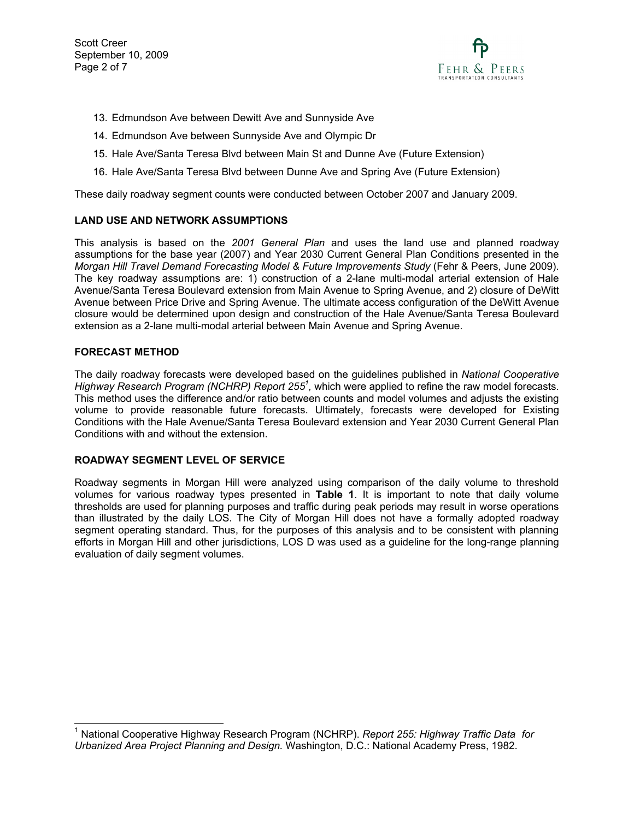Scott Creer September 10, 2009 Page 2 of 7



- 13. Edmundson Ave between Dewitt Ave and Sunnyside Ave
- 14. Edmundson Ave between Sunnyside Ave and Olympic Dr
- 15. Hale Ave/Santa Teresa Blvd between Main St and Dunne Ave (Future Extension)
- 16. Hale Ave/Santa Teresa Blvd between Dunne Ave and Spring Ave (Future Extension)

These daily roadway segment counts were conducted between October 2007 and January 2009.

## **LAND USE AND NETWORK ASSUMPTIONS**

This analysis is based on the *2001 General Plan* and uses the land use and planned roadway assumptions for the base year (2007) and Year 2030 Current General Plan Conditions presented in the *Morgan Hill Travel Demand Forecasting Model & Future Improvements Study* (Fehr & Peers, June 2009). The key roadway assumptions are: 1) construction of a 2-lane multi-modal arterial extension of Hale Avenue/Santa Teresa Boulevard extension from Main Avenue to Spring Avenue, and 2) closure of DeWitt Avenue between Price Drive and Spring Avenue. The ultimate access configuration of the DeWitt Avenue closure would be determined upon design and construction of the Hale Avenue/Santa Teresa Boulevard extension as a 2-lane multi-modal arterial between Main Avenue and Spring Avenue.

## **FORECAST METHOD**

-

The daily roadway forecasts were developed based on the guidelines published in *National Cooperative*  Highway Research Program (NCHRP) Report 255<sup>1</sup>, which were applied to refine the raw model forecasts. This method uses the difference and/or ratio between counts and model volumes and adjusts the existing volume to provide reasonable future forecasts. Ultimately, forecasts were developed for Existing Conditions with the Hale Avenue/Santa Teresa Boulevard extension and Year 2030 Current General Plan Conditions with and without the extension.

## **ROADWAY SEGMENT LEVEL OF SERVICE**

Roadway segments in Morgan Hill were analyzed using comparison of the daily volume to threshold volumes for various roadway types presented in **Table 1**. It is important to note that daily volume thresholds are used for planning purposes and traffic during peak periods may result in worse operations than illustrated by the daily LOS. The City of Morgan Hill does not have a formally adopted roadway segment operating standard. Thus, for the purposes of this analysis and to be consistent with planning efforts in Morgan Hill and other jurisdictions, LOS D was used as a guideline for the long-range planning evaluation of daily segment volumes.

<sup>1</sup> National Cooperative Highway Research Program (NCHRP). *Report 255: Highway Traffic Data for Urbanized Area Project Planning and Design.* Washington, D.C.: National Academy Press, 1982.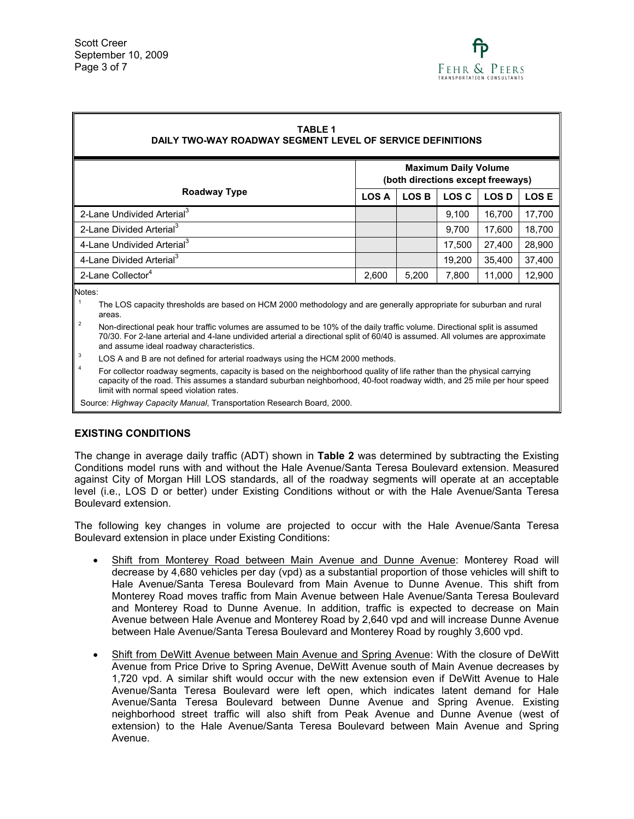

# **TABLE 1**

## **DAILY TWO-WAY ROADWAY SEGMENT LEVEL OF SERVICE DEFINITIONS**

|                                        | <b>Maximum Daily Volume</b><br>(both directions except freeways) |              |              |              |             |
|----------------------------------------|------------------------------------------------------------------|--------------|--------------|--------------|-------------|
| Roadway Type                           | <b>LOS A</b>                                                     | <b>LOS B</b> | <b>LOS C</b> | <b>LOS D</b> | <b>LOSE</b> |
| 2-Lane Undivided Arterial <sup>3</sup> |                                                                  |              | 9.100        | 16.700       | 17,700      |
| 2-Lane Divided Arterial <sup>3</sup>   |                                                                  |              | 9.700        | 17.600       | 18,700      |
| 4-Lane Undivided Arterial <sup>3</sup> |                                                                  |              | 17.500       | 27.400       | 28,900      |
| 4-Lane Divided Arterial <sup>3</sup>   |                                                                  |              | 19.200       | 35.400       | 37,400      |
| 2-Lane Collector <sup>4</sup>          | 2,600                                                            | 5,200        | 7,800        | 11,000       | 12,900      |

Notes:

- 1 The LOS capacity thresholds are based on HCM 2000 methodology and are generally appropriate for suburban and rural areas.
- 2 Non-directional peak hour traffic volumes are assumed to be 10% of the daily traffic volume. Directional split is assumed 70/30. For 2-lane arterial and 4-lane undivided arterial a directional split of 60/40 is assumed. All volumes are approximate and assume ideal roadway characteristics.
- 3 LOS A and B are not defined for arterial roadways using the HCM 2000 methods.
- 4 For collector roadway segments, capacity is based on the neighborhood quality of life rather than the physical carrying capacity of the road. This assumes a standard suburban neighborhood, 40-foot roadway width, and 25 mile per hour speed limit with normal speed violation rates.

Source: *Highway Capacity Manual*, Transportation Research Board, 2000.

## **EXISTING CONDITIONS**

The change in average daily traffic (ADT) shown in **Table 2** was determined by subtracting the Existing Conditions model runs with and without the Hale Avenue/Santa Teresa Boulevard extension. Measured against City of Morgan Hill LOS standards, all of the roadway segments will operate at an acceptable level (i.e., LOS D or better) under Existing Conditions without or with the Hale Avenue/Santa Teresa Boulevard extension.

The following key changes in volume are projected to occur with the Hale Avenue/Santa Teresa Boulevard extension in place under Existing Conditions:

- Shift from Monterey Road between Main Avenue and Dunne Avenue: Monterey Road will decrease by 4,680 vehicles per day (vpd) as a substantial proportion of those vehicles will shift to Hale Avenue/Santa Teresa Boulevard from Main Avenue to Dunne Avenue. This shift from Monterey Road moves traffic from Main Avenue between Hale Avenue/Santa Teresa Boulevard and Monterey Road to Dunne Avenue. In addition, traffic is expected to decrease on Main Avenue between Hale Avenue and Monterey Road by 2,640 vpd and will increase Dunne Avenue between Hale Avenue/Santa Teresa Boulevard and Monterey Road by roughly 3,600 vpd.
- Shift from DeWitt Avenue between Main Avenue and Spring Avenue: With the closure of DeWitt Avenue from Price Drive to Spring Avenue, DeWitt Avenue south of Main Avenue decreases by 1,720 vpd. A similar shift would occur with the new extension even if DeWitt Avenue to Hale Avenue/Santa Teresa Boulevard were left open, which indicates latent demand for Hale Avenue/Santa Teresa Boulevard between Dunne Avenue and Spring Avenue. Existing neighborhood street traffic will also shift from Peak Avenue and Dunne Avenue (west of extension) to the Hale Avenue/Santa Teresa Boulevard between Main Avenue and Spring Avenue.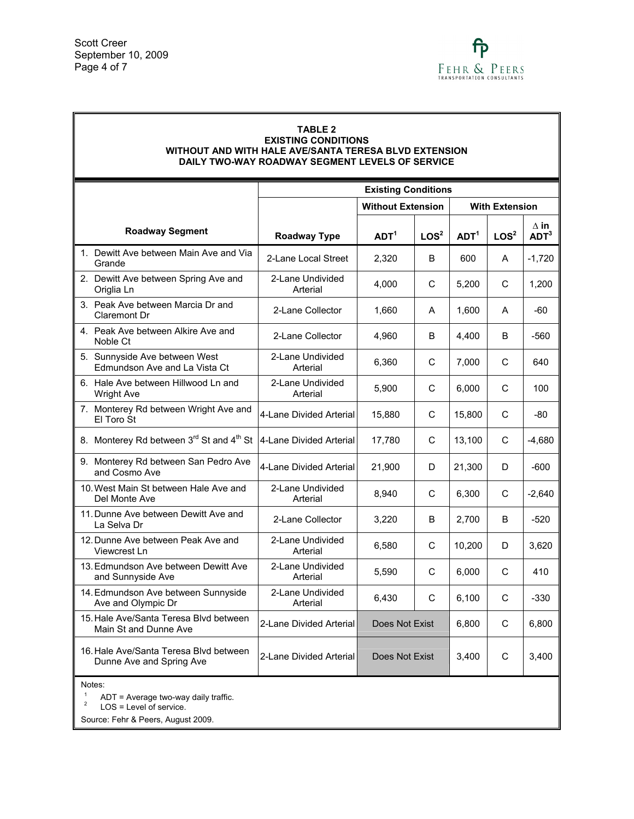## **TABLE 2**

#### **EXISTING CONDITIONS WITHOUT AND WITH HALE AVE/SANTA TERESA BLVD EXTENSION DAILY TWO-WAY ROADWAY SEGMENT LEVELS OF SERVICE**

|                   |                                                                    | <b>Existing Conditions</b>   |                          |                  |                       |                  |                                 |  |
|-------------------|--------------------------------------------------------------------|------------------------------|--------------------------|------------------|-----------------------|------------------|---------------------------------|--|
|                   |                                                                    |                              | <b>Without Extension</b> |                  | <b>With Extension</b> |                  |                                 |  |
|                   | <b>Roadway Segment</b>                                             | <b>Roadway Type</b>          | ADT <sup>1</sup>         | LOS <sup>2</sup> | ADT <sup>1</sup>      | LOG <sup>2</sup> | $\wedge$ in<br>ADT <sup>3</sup> |  |
| Grande            | 1. Dewitt Ave between Main Ave and Via                             | 2-Lane Local Street          | 2,320                    | B                | 600                   | A                | $-1,720$                        |  |
| Origlia Ln        | 2. Dewitt Ave between Spring Ave and                               | 2-Lane Undivided<br>Arterial | 4,000                    | C                | 5,200                 | C                | 1,200                           |  |
|                   | 3. Peak Ave between Marcia Dr and<br>Claremont Dr                  | 2-Lane Collector             | 1,660                    | A                | 1,600                 | A                | $-60$                           |  |
| Noble Ct          | 4. Peak Ave between Alkire Ave and                                 | 2-Lane Collector             | 4,960                    | B                | 4,400                 | B                | -560                            |  |
|                   | 5. Sunnyside Ave between West<br>Edmundson Ave and La Vista Ct     | 2-Lane Undivided<br>Arterial | 6,360                    | C                | 7,000                 | С                | 640                             |  |
| <b>Wright Ave</b> | 6. Hale Ave between Hillwood Ln and                                | 2-Lane Undivided<br>Arterial | 5,900                    | C                | 6.000                 | C                | 100                             |  |
| El Toro St        | 7. Monterey Rd between Wright Ave and                              | 4-Lane Divided Arterial      | 15,880                   | C                | 15,800                | C                | $-80$                           |  |
|                   | 8. Monterey Rd between 3rd St and 4th St                           | 4-Lane Divided Arterial      | 17,780                   | C                | 13,100                | C                | $-4,680$                        |  |
|                   | 9. Monterey Rd between San Pedro Ave<br>and Cosmo Ave              | 4-Lane Divided Arterial      | 21,900                   | D                | 21,300                | D                | $-600$                          |  |
|                   | 10. West Main St between Hale Ave and<br>Del Monte Ave             | 2-Lane Undivided<br>Arterial | 8,940                    | C                | 6,300                 | C                | $-2,640$                        |  |
| La Selva Dr       | 11. Dunne Ave between Dewitt Ave and                               | 2-Lane Collector             | 3,220                    | B                | 2,700                 | B                | $-520$                          |  |
|                   | 12. Dunne Ave between Peak Ave and<br>Viewcrest Ln                 | 2-Lane Undivided<br>Arterial | 6,580                    | C                | 10,200                | D                | 3,620                           |  |
|                   | 13. Edmundson Ave between Dewitt Ave<br>and Sunnyside Ave          | 2-Lane Undivided<br>Arterial | 5,590                    | C                | 6,000                 | C                | 410                             |  |
|                   | 14. Edmundson Ave between Sunnyside<br>Ave and Olympic Dr          | 2-Lane Undivided<br>Arterial | 6,430                    | C                | 6,100                 | C                | $-330$                          |  |
|                   | 15. Hale Ave/Santa Teresa Blvd between<br>Main St and Dunne Ave    | 2-Lane Divided Arterial      | Does Not Exist           |                  | 6,800                 | С                | 6,800                           |  |
|                   | 16. Hale Ave/Santa Teresa Blvd between<br>Dunne Ave and Spring Ave | 2-Lane Divided Arterial      | Does Not Exist           |                  | 3,400                 | C                | 3,400                           |  |
| Notes:            |                                                                    |                              |                          |                  |                       |                  |                                 |  |

<sup>1</sup> ADT = Average two-way daily traffic.<br><sup>2</sup> LOS = Level of service.

Source: Fehr & Peers, August 2009.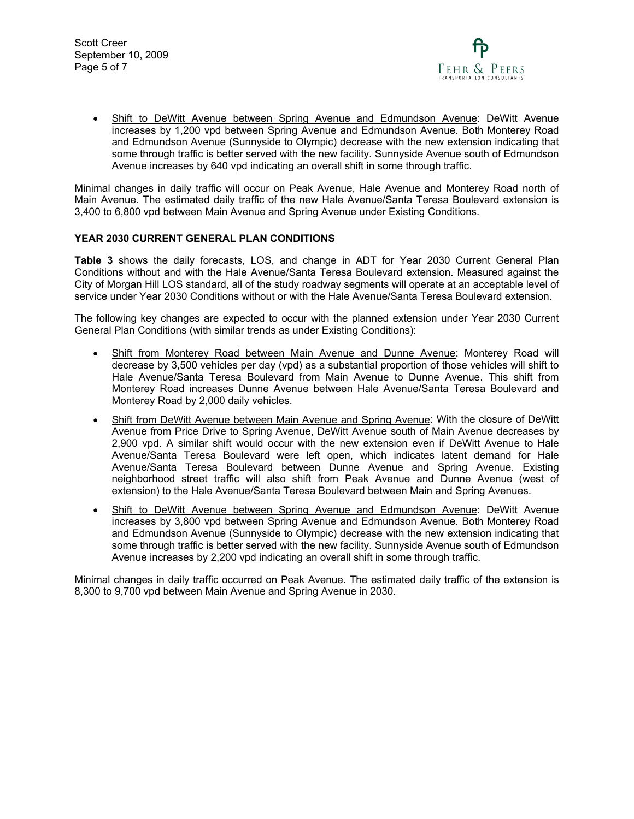Scott Creer September 10, 2009 Page 5 of 7



• Shift to DeWitt Avenue between Spring Avenue and Edmundson Avenue: DeWitt Avenue increases by 1,200 vpd between Spring Avenue and Edmundson Avenue. Both Monterey Road and Edmundson Avenue (Sunnyside to Olympic) decrease with the new extension indicating that some through traffic is better served with the new facility. Sunnyside Avenue south of Edmundson Avenue increases by 640 vpd indicating an overall shift in some through traffic.

Minimal changes in daily traffic will occur on Peak Avenue, Hale Avenue and Monterey Road north of Main Avenue. The estimated daily traffic of the new Hale Avenue/Santa Teresa Boulevard extension is 3,400 to 6,800 vpd between Main Avenue and Spring Avenue under Existing Conditions.

## **YEAR 2030 CURRENT GENERAL PLAN CONDITIONS**

**Table 3** shows the daily forecasts, LOS, and change in ADT for Year 2030 Current General Plan Conditions without and with the Hale Avenue/Santa Teresa Boulevard extension. Measured against the City of Morgan Hill LOS standard, all of the study roadway segments will operate at an acceptable level of service under Year 2030 Conditions without or with the Hale Avenue/Santa Teresa Boulevard extension.

The following key changes are expected to occur with the planned extension under Year 2030 Current General Plan Conditions (with similar trends as under Existing Conditions):

- Shift from Monterey Road between Main Avenue and Dunne Avenue: Monterey Road will decrease by 3,500 vehicles per day (vpd) as a substantial proportion of those vehicles will shift to Hale Avenue/Santa Teresa Boulevard from Main Avenue to Dunne Avenue. This shift from Monterey Road increases Dunne Avenue between Hale Avenue/Santa Teresa Boulevard and Monterey Road by 2,000 daily vehicles.
- Shift from DeWitt Avenue between Main Avenue and Spring Avenue: With the closure of DeWitt Avenue from Price Drive to Spring Avenue, DeWitt Avenue south of Main Avenue decreases by 2,900 vpd. A similar shift would occur with the new extension even if DeWitt Avenue to Hale Avenue/Santa Teresa Boulevard were left open, which indicates latent demand for Hale Avenue/Santa Teresa Boulevard between Dunne Avenue and Spring Avenue. Existing neighborhood street traffic will also shift from Peak Avenue and Dunne Avenue (west of extension) to the Hale Avenue/Santa Teresa Boulevard between Main and Spring Avenues.
- Shift to DeWitt Avenue between Spring Avenue and Edmundson Avenue: DeWitt Avenue increases by 3,800 vpd between Spring Avenue and Edmundson Avenue. Both Monterey Road and Edmundson Avenue (Sunnyside to Olympic) decrease with the new extension indicating that some through traffic is better served with the new facility. Sunnyside Avenue south of Edmundson Avenue increases by 2,200 vpd indicating an overall shift in some through traffic.

Minimal changes in daily traffic occurred on Peak Avenue. The estimated daily traffic of the extension is 8,300 to 9,700 vpd between Main Avenue and Spring Avenue in 2030.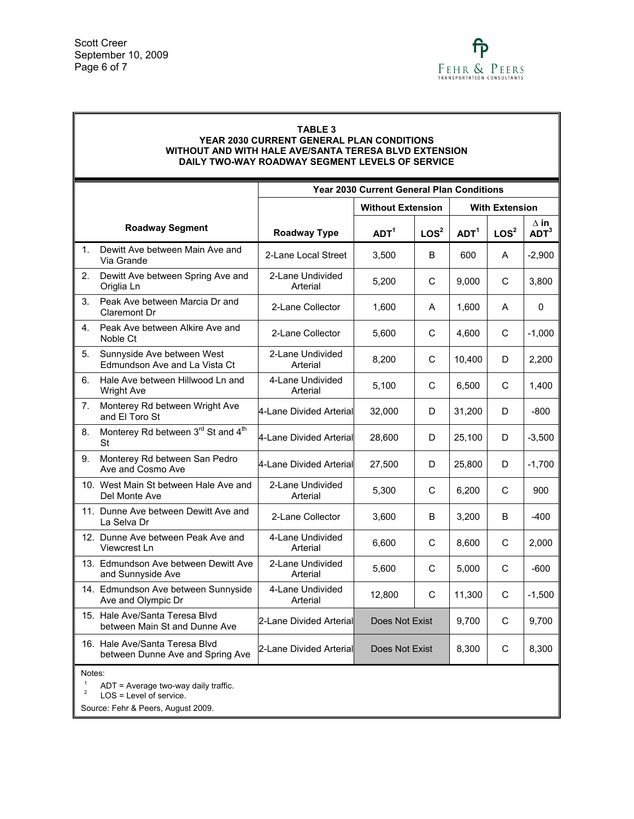## **TABLE 3**

#### **YEAR 2030 CURRENT GENERAL PLAN CONDITIONS WITHOUT AND WITH HALE AVE/SANTA TERESA BLVD EXTENSION DAILY TWO-WAY ROADWAY SEGMENT LEVELS OF SERVICE**

|                |                                                                    | <b>Year 2030 Current General Plan Conditions</b> |                          |                  |                       |                  |                                      |
|----------------|--------------------------------------------------------------------|--------------------------------------------------|--------------------------|------------------|-----------------------|------------------|--------------------------------------|
|                |                                                                    |                                                  | <b>Without Extension</b> |                  | <b>With Extension</b> |                  |                                      |
|                | <b>Roadway Segment</b>                                             | Roadway Type                                     | ADT <sup>1</sup>         | LOS <sup>2</sup> | ADT <sup>1</sup>      | LOS <sup>2</sup> | $\Delta$ in $\,$<br>ADT <sup>3</sup> |
| $\mathbf{1}$ . | Dewitt Ave between Main Ave and<br>Via Grande                      | 2-Lane Local Street                              | 3.500                    | B                | 600                   | A                | $-2,900$                             |
| 2.             | Dewitt Ave between Spring Ave and<br>Origlia Ln                    | 2-Lane Undivided<br>Arterial                     | 5,200                    | C                | 9,000                 | С                | 3,800                                |
| 3.             | Peak Ave between Marcia Dr and<br>Claremont Dr                     | 2-Lane Collector                                 | 1,600                    | A                | 1,600                 | A                | $\Omega$                             |
| 4.             | Peak Ave between Alkire Ave and<br>Noble Ct                        | 2-Lane Collector                                 | 5.600                    | C                | 4.600                 | C                | $-1,000$                             |
| 5.             | Sunnyside Ave between West<br>Edmundson Ave and La Vista Ct        | 2-Lane Undivided<br>Arterial                     | 8,200                    | C                | 10,400                | D                | 2,200                                |
| 6.             | Hale Ave between Hillwood Ln and<br><b>Wright Ave</b>              | 4-Lane Undivided<br>Arterial                     | 5,100                    | C                | 6,500                 | C                | 1,400                                |
| 7.             | Monterey Rd between Wright Ave<br>and El Toro St                   | 4-Lane Divided Arterial                          | 32,000                   | D                | 31,200                | D                | $-800$                               |
| 8.             | Monterey Rd between 3rd St and 4 <sup>th</sup><br>St               | 4-Lane Divided Arterial                          | 28,600                   | D.               | 25,100                | D                | $-3,500$                             |
| 9.             | Monterey Rd between San Pedro<br>Ave and Cosmo Ave                 | l4-Lane Divided Arteriall                        | 27,500                   | D                | 25,800                | D                | $-1,700$                             |
|                | 10. West Main St between Hale Ave and<br>Del Monte Ave             | 2-Lane Undivided<br>Arterial                     | 5,300                    | C                | 6,200                 | C                | 900                                  |
|                | 11. Dunne Ave between Dewitt Ave and<br>La Selva Dr                | 2-Lane Collector                                 | 3,600                    | B                | 3,200                 | B                | $-400$                               |
|                | 12. Dunne Ave between Peak Ave and<br>Viewcrest Ln                 | 4-Lane Undivided<br>Arterial                     | 6,600                    | C                | 8,600                 | C                | 2,000                                |
|                | 13. Edmundson Ave between Dewitt Ave<br>and Sunnyside Ave          | 2-Lane Undivided<br>Arterial                     | 5.600                    | C                | 5.000                 | C                | $-600$                               |
|                | 14. Edmundson Ave between Sunnyside<br>Ave and Olympic Dr          | 4-Lane Undivided<br>Arterial                     | 12,800                   | C                | 11,300                | С                | $-1,500$                             |
|                | 15. Hale Ave/Santa Teresa Blvd<br>between Main St and Dunne Ave    | 2-Lane Divided Arterial                          | Does Not Exist           |                  | 9,700                 | С                | 9,700                                |
|                | 16. Hale Ave/Santa Teresa Blvd<br>between Dunne Ave and Spring Ave | 2-Lane Divided Arterial                          | Does Not Exist           |                  | 8,300                 | С                | 8,300                                |
| Notes:         |                                                                    |                                                  |                          |                  |                       |                  |                                      |

<sup>1</sup> ADT = Average two-way daily traffic.<br><sup>2</sup> LOS = Level of service.

Source: Fehr & Peers, August 2009.